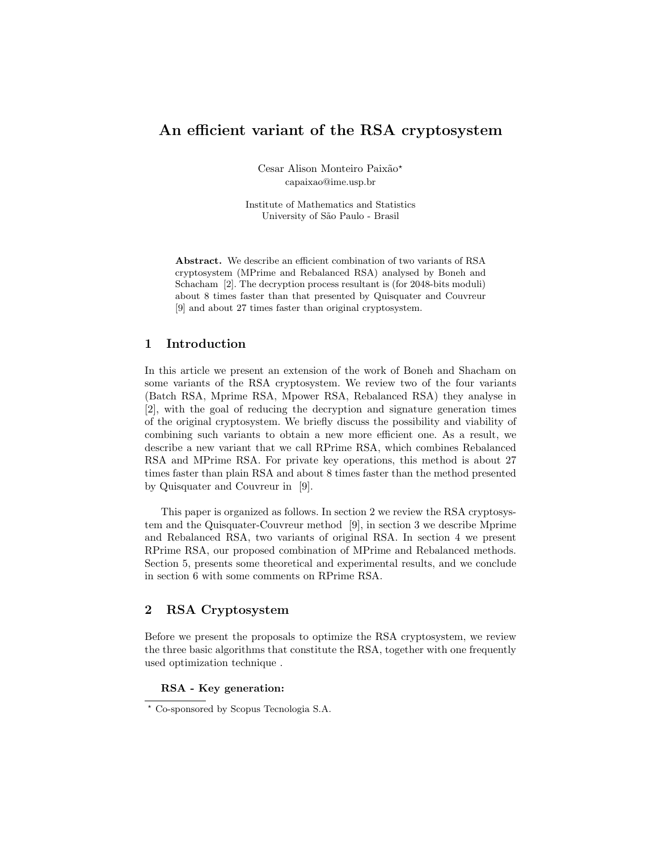# An efficient variant of the RSA cryptosystem

Cesar Alison Monteiro Paixão<sup>\*</sup> capaixao@ime.usp.br

Institute of Mathematics and Statistics University of S˜ao Paulo - Brasil

Abstract. We describe an efficient combination of two variants of RSA cryptosystem (MPrime and Rebalanced RSA) analysed by Boneh and Schacham [2]. The decryption process resultant is (for 2048-bits moduli) about 8 times faster than that presented by Quisquater and Couvreur [9] and about 27 times faster than original cryptosystem.

# 1 Introduction

In this article we present an extension of the work of Boneh and Shacham on some variants of the RSA cryptosystem. We review two of the four variants (Batch RSA, Mprime RSA, Mpower RSA, Rebalanced RSA) they analyse in [2], with the goal of reducing the decryption and signature generation times of the original cryptosystem. We briefly discuss the possibility and viability of combining such variants to obtain a new more efficient one. As a result, we describe a new variant that we call RPrime RSA, which combines Rebalanced RSA and MPrime RSA. For private key operations, this method is about 27 times faster than plain RSA and about 8 times faster than the method presented by Quisquater and Couvreur in [9].

This paper is organized as follows. In section 2 we review the RSA cryptosystem and the Quisquater-Couvreur method [9], in section 3 we describe Mprime and Rebalanced RSA, two variants of original RSA. In section 4 we present RPrime RSA, our proposed combination of MPrime and Rebalanced methods. Section 5, presents some theoretical and experimental results, and we conclude in section 6 with some comments on RPrime RSA.

### 2 RSA Cryptosystem

Before we present the proposals to optimize the RSA cryptosystem, we review the three basic algorithms that constitute the RSA, together with one frequently used optimization technique .

### RSA - Key generation:

<sup>?</sup> Co-sponsored by Scopus Tecnologia S.A.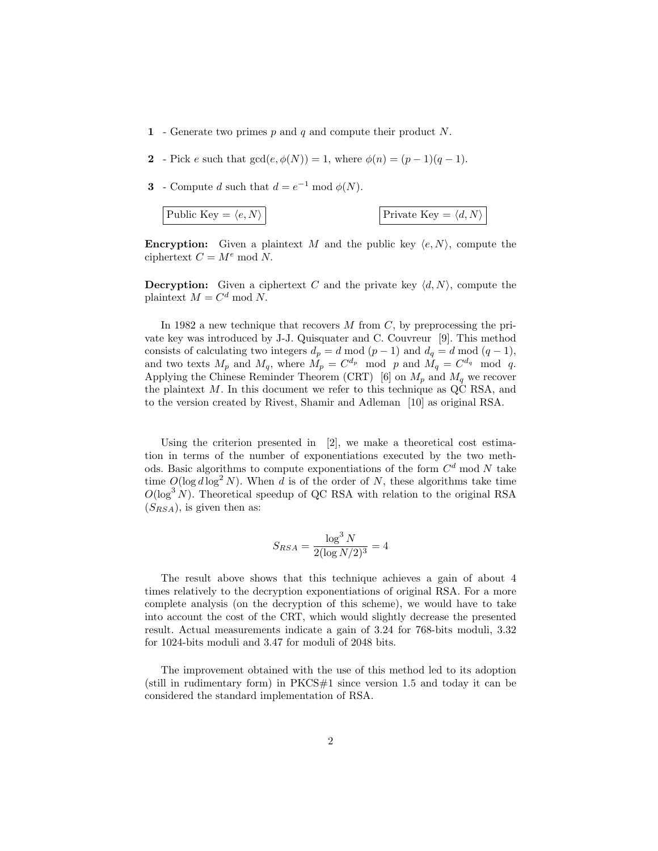- 1 Generate two primes  $p$  and  $q$  and compute their product N.
- 2 Pick e such that  $gcd(e, \phi(N)) = 1$ , where  $\phi(n) = (p-1)(q-1)$ .
- **3** Compute d such that  $d = e^{-1} \text{ mod } \phi(N)$ .

$$
Public Key = \langle e, N \rangle
$$
 
$$
Private Key = \langle d, N \rangle
$$

**Encryption:** Given a plaintext M and the public key  $\langle e, N \rangle$ , compute the ciphertext  $C = M^e \mod N$ .

**Decryption:** Given a ciphertext C and the private key  $\langle d, N \rangle$ , compute the plaintext  $M = C^d \text{ mod } N$ .

In 1982 a new technique that recovers  $M$  from  $C$ , by preprocessing the private key was introduced by J-J. Quisquater and C. Couvreur [9]. This method consists of calculating two integers  $d_p = d \mod (p-1)$  and  $d_q = d \mod (q-1)$ , and two texts  $M_p$  and  $M_q$ , where  $M_p = C^{d_p}$  mod p and  $M_q = C^{d_q}$  mod q. Applying the Chinese Reminder Theorem (CRT) [6] on  $M_p$  and  $M_q$  we recover the plaintext  $M$ . In this document we refer to this technique as QC RSA, and to the version created by Rivest, Shamir and Adleman [10] as original RSA.

Using the criterion presented in [2], we make a theoretical cost estimation in terms of the number of exponentiations executed by the two methods. Basic algorithms to compute exponentiations of the form  $C<sup>d</sup>$  mod N take time  $O(\log d \log^2 N)$ . When d is of the order of N, these algorithms take time  $O(\log^3 N)$ . Theoretical speedup of QC RSA with relation to the original RSA  $(S_{RSA})$ , is given then as:

$$
S_{RSA} = \frac{\log^3 N}{2(\log N/2)^3} = 4
$$

The result above shows that this technique achieves a gain of about 4 times relatively to the decryption exponentiations of original RSA. For a more complete analysis (on the decryption of this scheme), we would have to take into account the cost of the CRT, which would slightly decrease the presented result. Actual measurements indicate a gain of 3.24 for 768-bits moduli, 3.32 for 1024-bits moduli and 3.47 for moduli of 2048 bits.

The improvement obtained with the use of this method led to its adoption (still in rudimentary form) in  $PKCS#1$  since version 1.5 and today it can be considered the standard implementation of RSA.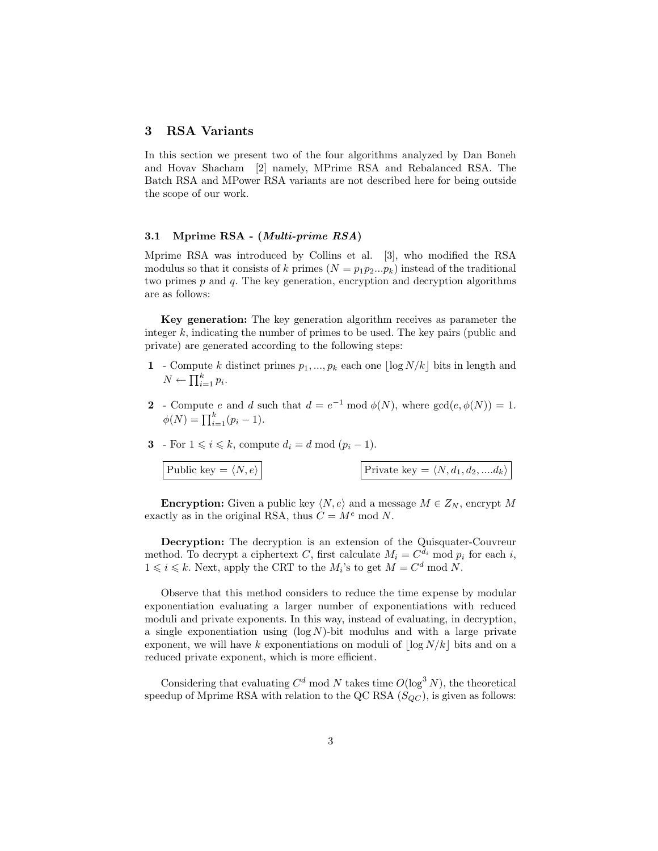# 3 RSA Variants

In this section we present two of the four algorithms analyzed by Dan Boneh and Hovav Shacham [2] namely, MPrime RSA and Rebalanced RSA. The Batch RSA and MPower RSA variants are not described here for being outside the scope of our work.

#### 3.1 Mprime RSA - (Multi-prime RSA)

Mprime RSA was introduced by Collins et al. [3], who modified the RSA modulus so that it consists of k primes  $(N = p_1p_2...p_k)$  instead of the traditional two primes  $p$  and  $q$ . The key generation, encryption and decryption algorithms are as follows:

Key generation: The key generation algorithm receives as parameter the integer k, indicating the number of primes to be used. The key pairs (public and private) are generated according to the following steps:

- 1 Compute k distinct primes  $p_1, ..., p_k$  each one  $\lfloor \log N/k \rfloor$  bits in length and  $N \leftarrow \prod_{i=1}^k p_i.$
- 2 Compute e and d such that  $d = e^{-1} \mod \phi(N)$ , where  $gcd(e, \phi(N)) = 1$ .  $\phi(N) = \prod_{i=1}^{k} (p_i - 1).$
- 3 For  $1 \leq i \leq k$ , compute  $d_i = d \mod (p_i 1)$ .

| Public key = $\langle N, e \rangle$ | Private key = $\langle N, d_1, d_2,  d_k \rangle$ |
|-------------------------------------|---------------------------------------------------|
|                                     |                                                   |

**Encryption:** Given a public key  $\langle N, e \rangle$  and a message  $M \in Z_N$ , encrypt M exactly as in the original RSA, thus  $C = M^e \text{ mod } N$ .

Decryption: The decryption is an extension of the Quisquater-Couvreur method. To decrypt a ciphertext C, first calculate  $M_i = C^{d_i} \mod p_i$  for each i,  $1 \leq i \leq k$ . Next, apply the CRT to the  $M_i$ 's to get  $M = C^d \mod N$ .

Observe that this method considers to reduce the time expense by modular exponentiation evaluating a larger number of exponentiations with reduced moduli and private exponents. In this way, instead of evaluating, in decryption, a single exponentiation using  $(\log N)$ -bit modulus and with a large private exponent, we will have k exponentiations on moduli of  $\log N/k$  bits and on a reduced private exponent, which is more efficient.

Considering that evaluating  $C^d$  mod N takes time  $O(\log^3 N)$ , the theoretical speedup of Mprime RSA with relation to the QC RSA  $(S_{QC})$ , is given as follows: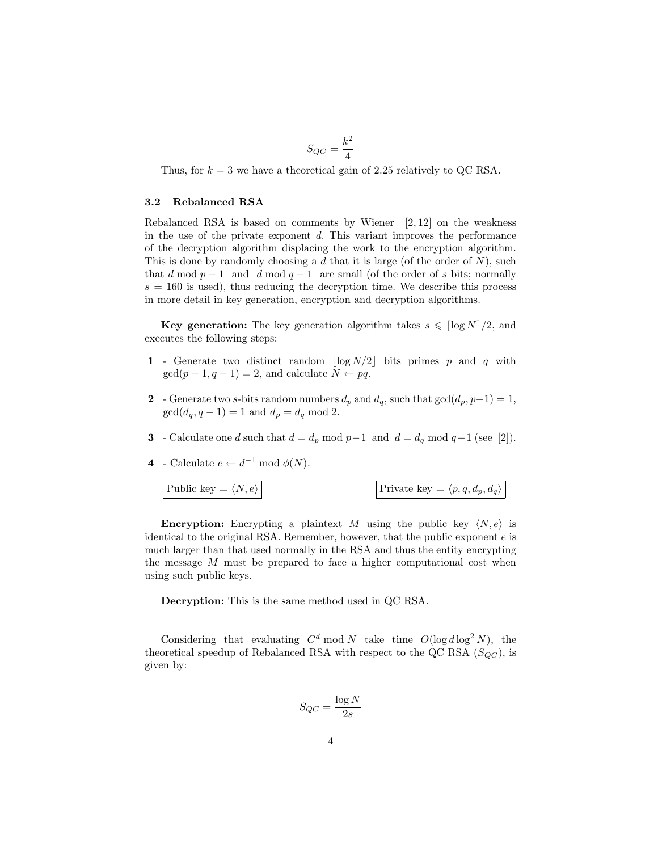$$
S_{QC} = \frac{k^2}{4}
$$

Thus, for  $k = 3$  we have a theoretical gain of 2.25 relatively to QC RSA.

#### 3.2 Rebalanced RSA

Rebalanced RSA is based on comments by Wiener  $[2, 12]$  on the weakness in the use of the private exponent  $d$ . This variant improves the performance of the decryption algorithm displacing the work to the encryption algorithm. This is done by randomly choosing a  $d$  that it is large (of the order of  $N$ ), such that d mod  $p-1$  and d mod  $q-1$  are small (of the order of s bits; normally  $s = 160$  is used), thus reducing the decryption time. We describe this process in more detail in key generation, encryption and decryption algorithms.

**Key generation:** The key generation algorithm takes  $s \leq \lceil \log N \rceil/2$ , and executes the following steps:

- 1 Generate two distinct random  $\lfloor \log N/2 \rfloor$  bits primes p and q with  $gcd(p-1, q-1) = 2$ , and calculate  $N \leftarrow pq$ .
- 2 Generate two s-bits random numbers  $d_p$  and  $d_q$ , such that  $gcd(d_p, p-1) = 1$ ,  $gcd(d_q, q - 1) = 1$  and  $d_p = d_q$  mod 2.
- 3 Calculate one d such that  $d = d_p \mod p-1$  and  $d = d_q \mod q-1$  (see [2]).
- 4 Calculate  $e \leftarrow d^{-1} \mod \phi(N)$ .

Public key =  $\langle N, e \rangle$ 

$$
Private~key=\langle p,q,d_p,d_q\rangle
$$

**Encryption:** Encrypting a plaintext M using the public key  $\langle N, e \rangle$  is identical to the original RSA. Remember, however, that the public exponent e is much larger than that used normally in the RSA and thus the entity encrypting the message  $M$  must be prepared to face a higher computational cost when using such public keys.

Decryption: This is the same method used in QC RSA.

Considering that evaluating  $C^d \mod N$  take time  $O(\log d \log^2 N)$ , the theoretical speedup of Rebalanced RSA with respect to the QC RSA  $(S_{OC})$ , is given by:

$$
S_{QC} = \frac{\log N}{2s}
$$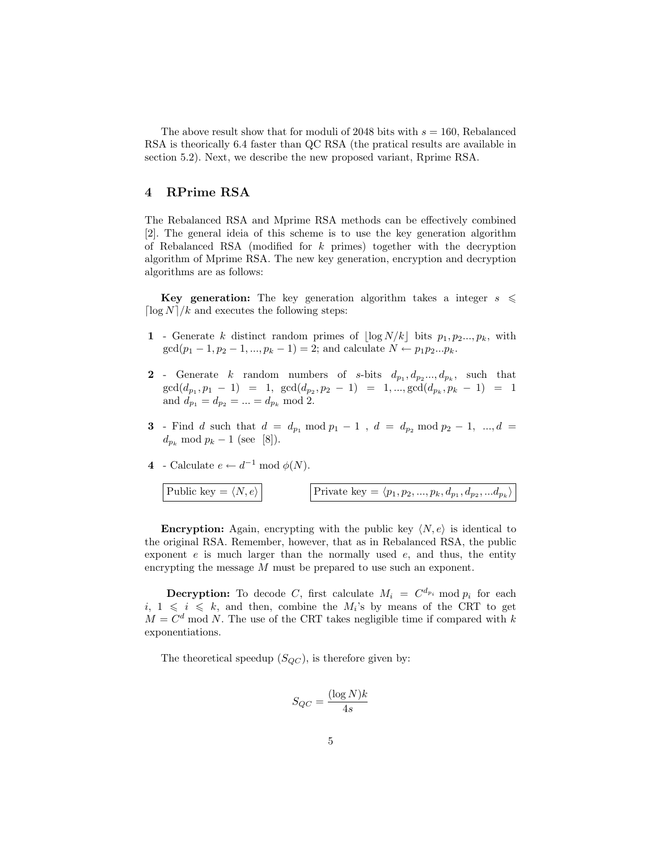The above result show that for moduli of 2048 bits with  $s = 160$ , Rebalanced RSA is theorically 6.4 faster than QC RSA (the pratical results are available in section 5.2). Next, we describe the new proposed variant, Rprime RSA.

# 4 RPrime RSA

The Rebalanced RSA and Mprime RSA methods can be effectively combined [2]. The general ideia of this scheme is to use the key generation algorithm of Rebalanced RSA (modified for  $k$  primes) together with the decryption algorithm of Mprime RSA. The new key generation, encryption and decryption algorithms are as follows:

Key generation: The key generation algorithm takes a integer  $s \leq$  $\lceil \log N \rceil / k$  and executes the following steps:

- 1 Generate k distinct random primes of  $\lfloor \log N/k \rfloor$  bits  $p_1, p_2, ..., p_k$ , with  $gcd(p_1 - 1, p_2 - 1, ..., p_k - 1) = 2$ ; and calculate  $N \leftarrow p_1 p_2 ... p_k$ .
- 2 Generate k random numbers of s-bits  $d_{p_1}, d_{p_2}, \ldots, d_{p_k}$ , such that  $gcd(d_{p_1}, p_1 - 1) = 1, gcd(d_{p_2}, p_2 - 1) = 1, ..., gcd(d_{p_k}, p_k - 1) = 1$ and  $d_{p_1} = d_{p_2} = ... = d_{p_k} \text{ mod } 2.$
- **3** Find d such that  $d = d_{p_1} \mod p_1 1$ ,  $d = d_{p_2} \mod p_2 1$ , ...,  $d =$  $d_{p_k} \mod p_k - 1$  (see [8]).

4 - Calculate 
$$
e \leftarrow d^{-1} \mod \phi(N)
$$
.

L

$$
Public key = \langle N, e \rangle
$$
 
$$
Private key = \langle p_1, p_2, ..., p_k, d_{p_1}, d_{p_2}, ... d_{p_k} \rangle
$$

**Encryption:** Again, encrypting with the public key  $\langle N, e \rangle$  is identical to the original RSA. Remember, however, that as in Rebalanced RSA, the public exponent  $e$  is much larger than the normally used  $e$ , and thus, the entity encrypting the message M must be prepared to use such an exponent.

**Decryption:** To decode C, first calculate  $M_i = C^{d_{p_i}}$  mod  $p_i$  for each  $i, 1 \leq i \leq k$ , and then, combine the  $M_i$ 's by means of the CRT to get  $M = C<sup>d</sup>$  mod N. The use of the CRT takes negligible time if compared with k exponentiations.

The theoretical speedup  $(S_{QC})$ , is therefore given by:

$$
S_{QC} = \frac{(\log N)k}{4s}
$$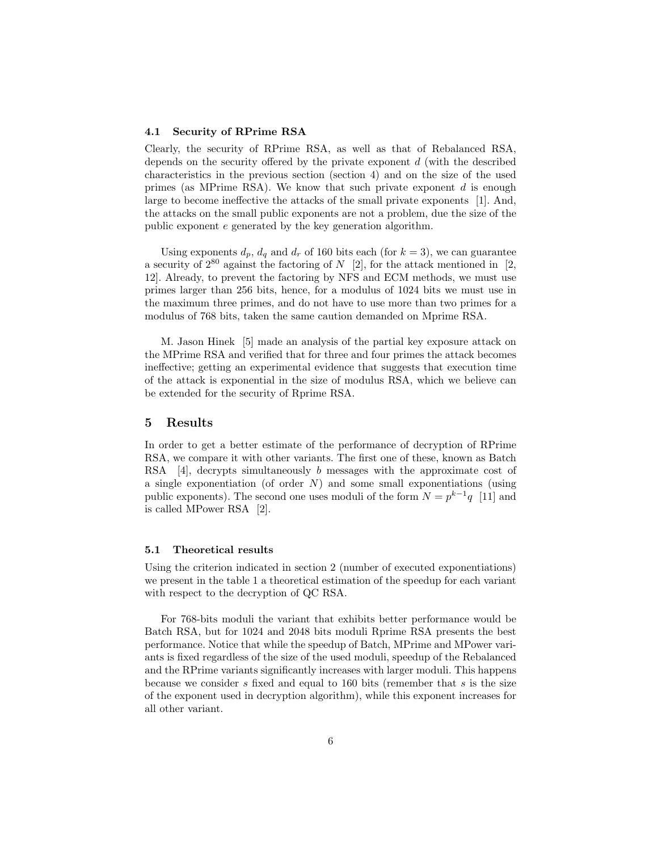#### 4.1 Security of RPrime RSA

Clearly, the security of RPrime RSA, as well as that of Rebalanced RSA, depends on the security offered by the private exponent d (with the described characteristics in the previous section (section 4) and on the size of the used primes (as MPrime RSA). We know that such private exponent  $d$  is enough large to become ineffective the attacks of the small private exponents [1]. And, the attacks on the small public exponents are not a problem, due the size of the public exponent e generated by the key generation algorithm.

Using exponents  $d_p$ ,  $d_q$  and  $d_r$  of 160 bits each (for  $k = 3$ ), we can guarantee a security of  $2^{80}$  against the factoring of N [2], for the attack mentioned in [2, 12]. Already, to prevent the factoring by NFS and ECM methods, we must use primes larger than 256 bits, hence, for a modulus of 1024 bits we must use in the maximum three primes, and do not have to use more than two primes for a modulus of 768 bits, taken the same caution demanded on Mprime RSA.

M. Jason Hinek [5] made an analysis of the partial key exposure attack on the MPrime RSA and verified that for three and four primes the attack becomes ineffective; getting an experimental evidence that suggests that execution time of the attack is exponential in the size of modulus RSA, which we believe can be extended for the security of Rprime RSA.

### 5 Results

In order to get a better estimate of the performance of decryption of RPrime RSA, we compare it with other variants. The first one of these, known as Batch RSA [4], decrypts simultaneously b messages with the approximate cost of a single exponentiation (of order  $N$ ) and some small exponentiations (using public exponents). The second one uses moduli of the form  $N = p^{k-1}q$  [11] and is called MPower RSA [2].

#### 5.1 Theoretical results

Using the criterion indicated in section 2 (number of executed exponentiations) we present in the table 1 a theoretical estimation of the speedup for each variant with respect to the decryption of QC RSA.

For 768-bits moduli the variant that exhibits better performance would be Batch RSA, but for 1024 and 2048 bits moduli Rprime RSA presents the best performance. Notice that while the speedup of Batch, MPrime and MPower variants is fixed regardless of the size of the used moduli, speedup of the Rebalanced and the RPrime variants significantly increases with larger moduli. This happens because we consider s fixed and equal to 160 bits (remember that s is the size of the exponent used in decryption algorithm), while this exponent increases for all other variant.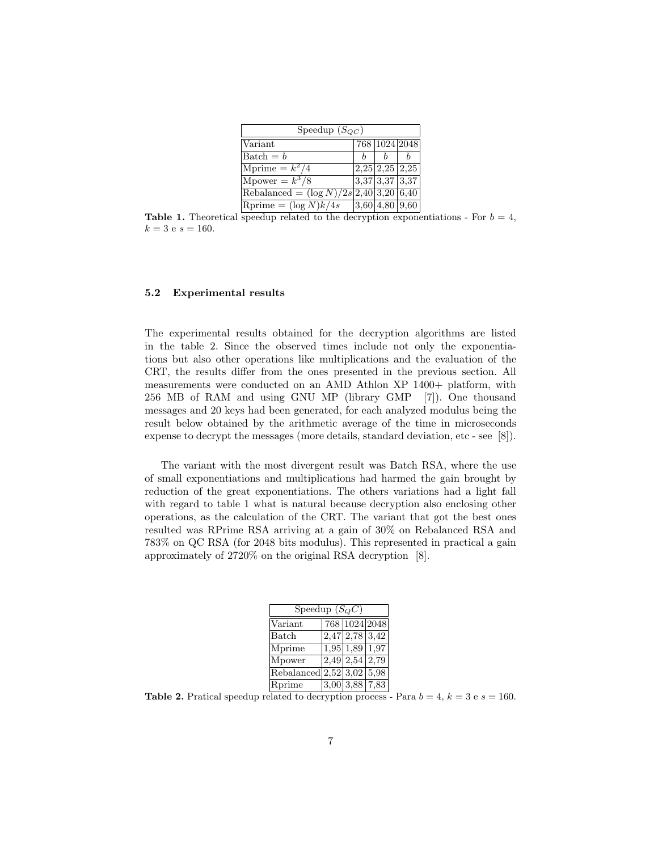| Speedup $(S_{OC})$                        |  |  |                          |  |  |
|-------------------------------------------|--|--|--------------------------|--|--|
| Variant                                   |  |  | 768 1024 2048            |  |  |
| $Batch = b$                               |  |  |                          |  |  |
| Mprime $= k^2/4$                          |  |  | $2,25$   $2,25$   $2,25$ |  |  |
| Mpower = $k^3/8$                          |  |  | $3,37$ 3,37 3,37         |  |  |
| Rebalanced = $(\log N)/2s$ 2,40 3,20 6,40 |  |  |                          |  |  |
| Rprime = $(\log N)k/4s$                   |  |  | $ 3,60 $ 4,80   9,60     |  |  |

**Table 1.** Theoretical speedup related to the decryption exponentiations - For  $b = 4$ ,  $k = 3$  e  $s = 160$ .

#### 5.2 Experimental results

The experimental results obtained for the decryption algorithms are listed in the table 2. Since the observed times include not only the exponentiations but also other operations like multiplications and the evaluation of the CRT, the results differ from the ones presented in the previous section. All measurements were conducted on an AMD Athlon XP 1400+ platform, with 256 MB of RAM and using GNU MP (library GMP [7]). One thousand messages and 20 keys had been generated, for each analyzed modulus being the result below obtained by the arithmetic average of the time in microseconds expense to decrypt the messages (more details, standard deviation, etc - see [8]).

The variant with the most divergent result was Batch RSA, where the use of small exponentiations and multiplications had harmed the gain brought by reduction of the great exponentiations. The others variations had a light fall with regard to table 1 what is natural because decryption also enclosing other operations, as the calculation of the CRT. The variant that got the best ones resulted was RPrime RSA arriving at a gain of 30% on Rebalanced RSA and 783% on QC RSA (for 2048 bits modulus). This represented in practical a gain approximately of 2720% on the original RSA decryption [8].

| Speedup $(S_Q C)$                  |  |                  |                                              |  |  |  |
|------------------------------------|--|------------------|----------------------------------------------|--|--|--|
| Variant                            |  |                  | 768 1024 2048                                |  |  |  |
| Batch                              |  |                  | $\sqrt{2,47}$ 2,78 3,42                      |  |  |  |
| Mprime                             |  | $1,95$ 1,89 1,97 |                                              |  |  |  |
| Mpower                             |  |                  | $\boxed{2,49}$ $\boxed{2,54}$ $\boxed{2,79}$ |  |  |  |
| Rebalanced $\sqrt{2,52}$ 3,02 5,98 |  |                  |                                              |  |  |  |
| Rprime                             |  |                  | $3,00$ 3,88 7,83                             |  |  |  |

**Table 2.** Pratical speedup related to decryption process - Para  $b = 4$ ,  $k = 3$  e  $s = 160$ .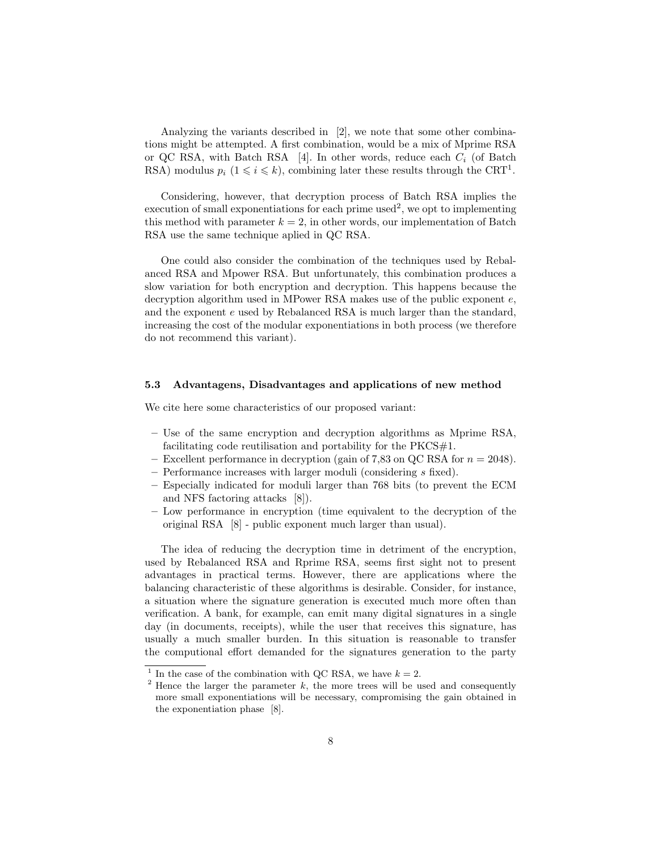Analyzing the variants described in [2], we note that some other combinations might be attempted. A first combination, would be a mix of Mprime RSA or QC RSA, with Batch RSA [4]. In other words, reduce each  $C_i$  (of Batch RSA) modulus  $p_i$   $(1 \leq i \leq k)$ , combining later these results through the CRT<sup>1</sup>.

Considering, however, that decryption process of Batch RSA implies the execution of small exponentiations for each prime used<sup>2</sup>, we opt to implementing this method with parameter  $k = 2$ , in other words, our implementation of Batch RSA use the same technique aplied in QC RSA.

One could also consider the combination of the techniques used by Rebalanced RSA and Mpower RSA. But unfortunately, this combination produces a slow variation for both encryption and decryption. This happens because the decryption algorithm used in MPower RSA makes use of the public exponent e, and the exponent e used by Rebalanced RSA is much larger than the standard, increasing the cost of the modular exponentiations in both process (we therefore do not recommend this variant).

#### 5.3 Advantagens, Disadvantages and applications of new method

We cite here some characteristics of our proposed variant:

- Use of the same encryption and decryption algorithms as Mprime RSA, facilitating code reutilisation and portability for the  $PKCS#1$ .
- Excellent performance in decryption (gain of 7,83 on QC RSA for  $n = 2048$ ).
- Performance increases with larger moduli (considering s fixed).
- Especially indicated for moduli larger than 768 bits (to prevent the ECM and NFS factoring attacks [8]).
- Low performance in encryption (time equivalent to the decryption of the original RSA [8] - public exponent much larger than usual).

The idea of reducing the decryption time in detriment of the encryption, used by Rebalanced RSA and Rprime RSA, seems first sight not to present advantages in practical terms. However, there are applications where the balancing characteristic of these algorithms is desirable. Consider, for instance, a situation where the signature generation is executed much more often than verification. A bank, for example, can emit many digital signatures in a single day (in documents, receipts), while the user that receives this signature, has usually a much smaller burden. In this situation is reasonable to transfer the computional effort demanded for the signatures generation to the party

<sup>&</sup>lt;sup>1</sup> In the case of the combination with QC RSA, we have  $k = 2$ .

<sup>&</sup>lt;sup>2</sup> Hence the larger the parameter  $k$ , the more trees will be used and consequently more small exponentiations will be necessary, compromising the gain obtained in the exponentiation phase [8].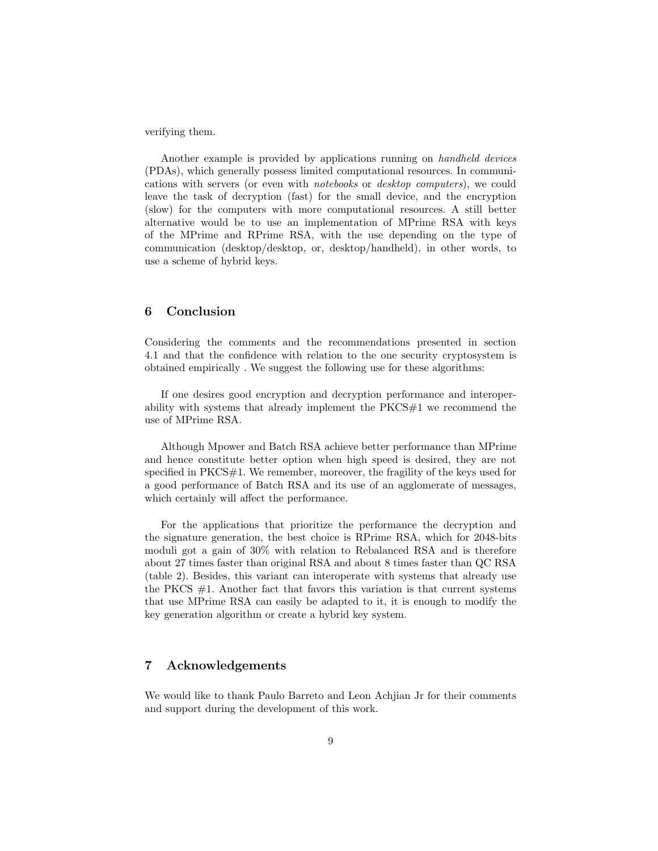verifying them.

Another example is provided by applications running on handheld devices (PDAs), which generally possess limited computational resources. In communications with servers (or even with notebooks or desktop computers), we could leave the task of decryption (fast) for the small device, and the encryption (slow) for the computers with more computational resources. A still better alternative would be to use an implementation of MPrime RSA with keys of the MPrime and RPrime RSA, with the use depending on the type of communication (desktop/desktop, or, desktop/handheld), in other words, to use a scheme of hybrid keys.

### 6 Conclusion

Considering the comments and the recommendations presented in section 4.1 and that the confidence with relation to the one security cryptosystem is obtained empirically . We suggest the following use for these algorithms:

If one desires good encryption and decryption performance and interoperability with systems that already implement the PKCS#1 we recommend the use of MPrime RSA.

Although Mpower and Batch RSA achieve better performance than MPrime and hence constitute better option when high speed is desired, they are not specified in PKCS#1. We remember, moreover, the fragility of the keys used for a good performance of Batch RSA and its use of an agglomerate of messages, which certainly will affect the performance.

For the applications that prioritize the performance the decryption and the signature generation, the best choice is RPrime RSA, which for 2048-bits moduli got a gain of 30% with relation to Rebalanced RSA and is therefore about 27 times faster than original RSA and about 8 times faster than QC RSA (table 2). Besides, this variant can interoperate with systems that already use the PKCS  $#1$ . Another fact that favors this variation is that current systems that use MPrime RSA can easily be adapted to it, it is enough to modify the key generation algorithm or create a hybrid key system.

### 7 Acknowledgements

We would like to thank Paulo Barreto and Leon Achjian Jr for their comments and support during the development of this work.